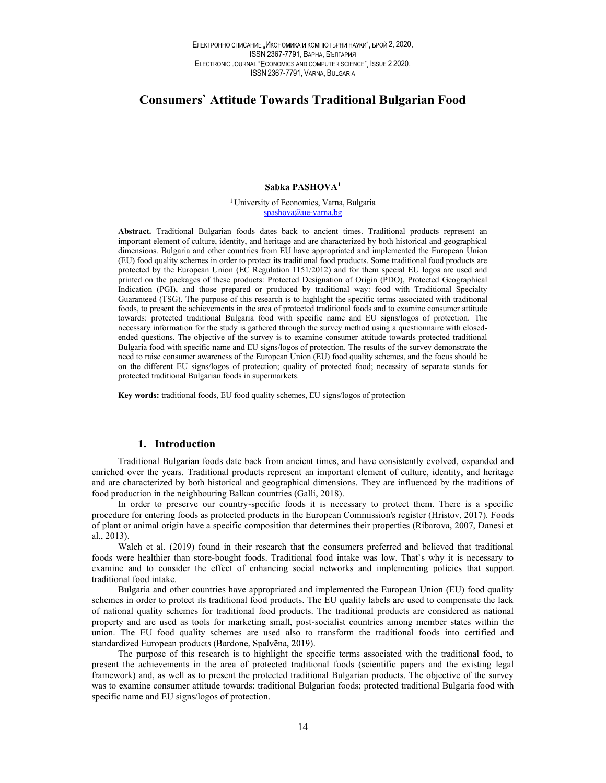# Consumers` Attitude Towards Traditional Bulgarian Food

## Sabka PASHOVA1

<sup>1</sup> University of Economics, Varna, Bulgaria spashova@ue-varna.bg

Abstract. Traditional Bulgarian foods dates back to ancient times. Traditional products represent an important element of culture, identity, and heritage and are characterized by both historical and geographical dimensions. Bulgaria and other countries from EU have appropriated and implemented the European Union (EU) food quality schemes in order to protect its traditional food products. Some traditional food products are protected by the European Union (EC Regulation 1151/2012) and for them special EU logos are used and printed on the packages of these products: Protected Designation of Origin (PDO), Protected Geographical Indication (PGI), and those prepared or produced by traditional way: food with Traditional Specialty Guaranteed (TSG). The purpose of this research is to highlight the specific terms associated with traditional foods, to present the achievements in the area of protected traditional foods and to examine consumer attitude towards: protected traditional Bulgaria food with specific name and EU signs/logos of protection. The necessary information for the study is gathered through the survey method using a questionnaire with closedended questions. The objective of the survey is to examine consumer attitude towards protected traditional Bulgaria food with specific name and EU signs/logos of protection. The results of the survey demonstrate the need to raise consumer awareness of the European Union (EU) food quality schemes, and the focus should be on the different EU signs/logos of protection; quality of protected food; necessity of separate stands for protected traditional Bulgarian foods in supermarkets.

Key words: traditional foods, EU food quality schemes, EU signs/logos of protection

### 1. Introduction

Traditional Bulgarian foods date back from ancient times, and have consistently evolved, expanded and enriched over the years. Traditional products represent an important element of culture, identity, and heritage and are characterized by both historical and geographical dimensions. They are influenced by the traditions of food production in the neighbouring Balkan countries (Galli, 2018).

In order to preserve our country-specific foods it is necessary to protect them. There is a specific procedure for entering foods as protected products in the European Commission's register (Hristov, 2017). Foods of plant or animal origin have a specific composition that determines their properties (Ribarova, 2007, Danesi et al., 2013).

Walch et al. (2019) found in their research that the consumers preferred and believed that traditional foods were healthier than store-bought foods. Traditional food intake was low. That`s why it is necessary to examine and to consider the effect of enhancing social networks and implementing policies that support traditional food intake.

Bulgaria and other countries have appropriated and implemented the European Union (EU) food quality schemes in order to protect its traditional food products. The EU quality labels are used to compensate the lack of national quality schemes for traditional food products. The traditional products are considered as national property and are used as tools for marketing small, post-socialist countries among member states within the union. The EU food quality schemes are used also to transform the traditional foods into certified and standardized European products (Bardone, Spalvēna, 2019).

The purpose of this research is to highlight the specific terms associated with the traditional food, to present the achievements in the area of protected traditional foods (scientific papers and the existing legal framework) and, as well as to present the protected traditional Bulgarian products. The objective of the survey was to examine consumer attitude towards: traditional Bulgarian foods; protected traditional Bulgaria food with specific name and EU signs/logos of protection.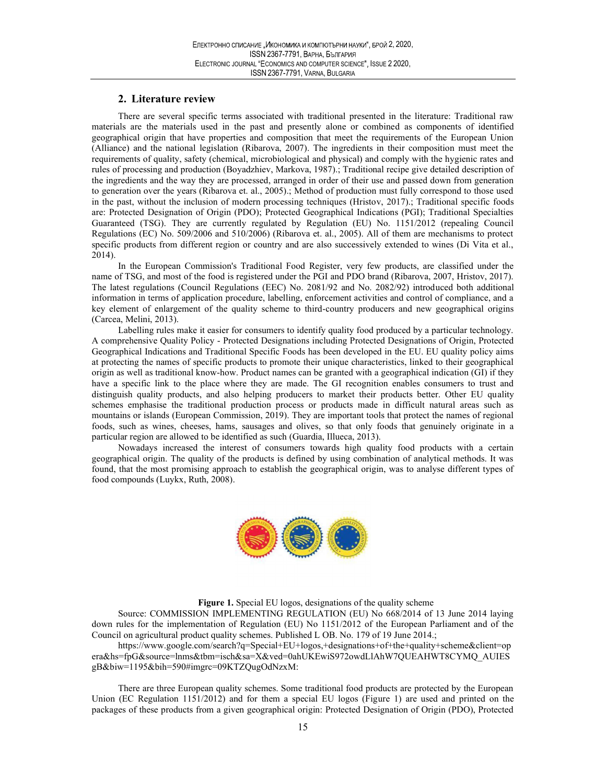# 2. Literature review

There are several specific terms associated with traditional presented in the literature: Traditional raw materials are the materials used in the past and presently alone or combined as components of identified geographical origin that have properties and composition that meet the requirements of the European Union (Alliance) and the national legislation (Ribarova, 2007). The ingredients in their composition must meet the requirements of quality, safety (chemical, microbiological and physical) and comply with the hygienic rates and rules of processing and production (Boyadzhiev, Markova, 1987).; Traditional recipe give detailed description of the ingredients and the way they are processed, arranged in order of their use and passed down from generation to generation over the years (Ribarova et. al., 2005).; Method of production must fully correspond to those used in the past, without the inclusion of modern processing techniques (Hristov, 2017).; Traditional specific foods are: Protected Designation of Origin (PDO); Protected Geographical Indications (PGI); Traditional Specialties Guaranteed (TSG). They are currently regulated by Regulation (EU) No. 1151/2012 (repealing Council Regulations (EC) No. 509/2006 and 510/2006) (Ribarova et. al., 2005). All of them are mechanisms to protect specific products from different region or country and are also successively extended to wines (Di Vita et al., 2014).

In the European Commission's Traditional Food Register, very few products, are classified under the name of TSG, and most of the food is registered under the PGI and PDO brand (Ribarova, 2007, Hristov, 2017). The latest regulations (Council Regulations (EEC) No. 2081/92 and No. 2082/92) introduced both additional information in terms of application procedure, labelling, enforcement activities and control of compliance, and a key element of enlargement of the quality scheme to third-country producers and new geographical origins (Carcea, Melini, 2013).

Labelling rules make it easier for consumers to identify quality food produced by a particular technology. A comprehensive Quality Policy - Protected Designations including Protected Designations of Origin, Protected Geographical Indications and Traditional Specific Foods has been developed in the EU. EU quality policy aims at protecting the names of specific products to promote their unique characteristics, linked to their geographical origin as well as traditional know-how. Product names can be granted with a geographical indication (GI) if they have a specific link to the place where they are made. The GI recognition enables consumers to trust and distinguish quality products, and also helping producers to market their products better. Other EU quality schemes emphasise the traditional production process or products made in difficult natural areas such as mountains or islands (European Commission, 2019). They are important tools that protect the names of regional foods, such as wines, cheeses, hams, sausages and olives, so that only foods that genuinely originate in a particular region are allowed to be identified as such (Guardia, Illueca, 2013).

Nowadays increased the interest of consumers towards high quality food products with a certain geographical origin. The quality of the products is defined by using combination of analytical methods. It was found, that the most promising approach to establish the geographical origin, was to analyse different types of food compounds (Luykx, Ruth, 2008).



Figure 1. Special EU logos, designations of the quality scheme

Source: COMMISSION IMPLEMENTING REGULATION (EU) No 668/2014 of 13 June 2014 laying down rules for the implementation of Regulation (EU) No 1151/2012 of the European Parliament and of the Council on agricultural product quality schemes. Published L OB. No. 179 of 19 June 2014.;

https://www.google.com/search?q=Special+EU+logos,+designations+of+the+quality+scheme&client=op era&hs=fpG&source=lnms&tbm=isch&sa=X&ved=0ahUKEwiS972owdLlAhW7QUEAHWT8CYMQ\_AUIES gB&biw=1195&bih=590#imgrc=09KTZQugOdNzxM:

There are three European quality schemes. Some traditional food products are protected by the European Union (EC Regulation 1151/2012) and for them a special EU logos (Figure 1) are used and printed on the packages of these products from a given geographical origin: Protected Designation of Origin (PDO), Protected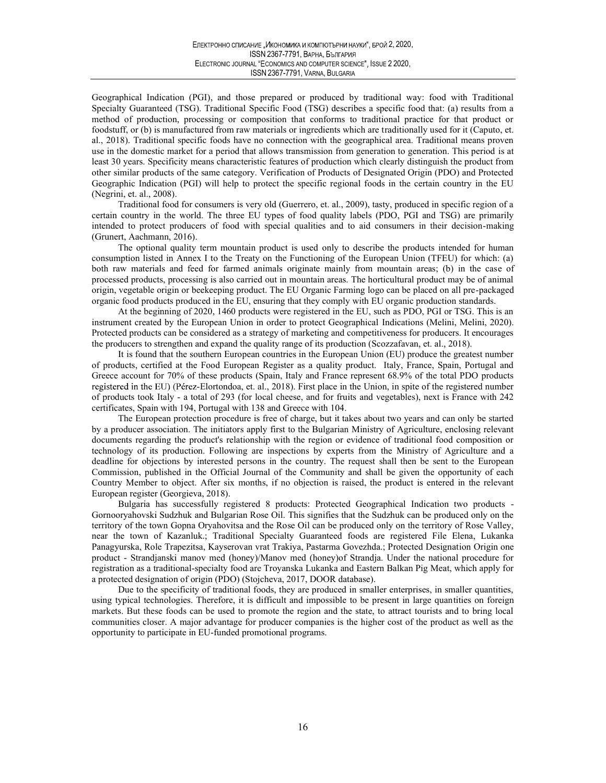Geographical Indication (PGI), and those prepared or produced by traditional way: food with Traditional Specialty Guaranteed (TSG). Traditional Specific Food (TSG) describes a specific food that: (a) results from a method of production, processing or composition that conforms to traditional practice for that product or foodstuff, or (b) is manufactured from raw materials or ingredients which are traditionally used for it (Caputo, et. al., 2018). Traditional specific foods have no connection with the geographical area. Traditional means proven use in the domestic market for a period that allows transmission from generation to generation. This period is at least 30 years. Specificity means characteristic features of production which clearly distinguish the product from other similar products of the same category. Verification of Products of Designated Origin (PDO) and Protected Geographic Indication (PGI) will help to protect the specific regional foods in the certain country in the EU (Negrini, et. al., 2008).

Traditional food for consumers is very old (Guerrero, et. al., 2009), tasty, produced in specific region of a certain country in the world. The three EU types of food quality labels (PDO, PGI and TSG) are primarily intended to protect producers of food with special qualities and to aid consumers in their decision-making (Grunert, Aachmann, 2016).

The optional quality term mountain product is used only to describe the products intended for human consumption listed in Annex I to the Treaty on the Functioning of the European Union (TFEU) for which: (a) both raw materials and feed for farmed animals originate mainly from mountain areas; (b) in the case of processed products, processing is also carried out in mountain areas. The horticultural product may be of animal origin, vegetable origin or beekeeping product. The EU Organic Farming logo can be placed on all pre-packaged organic food products produced in the EU, ensuring that they comply with EU organic production standards.

At the beginning of 2020, 1460 products were registered in the EU, such as PDO, PGI or TSG. This is an instrument created by the European Union in order to protect Geographical Indications (Melini, Melini, 2020). Protected products can be considered as a strategy of marketing and competitiveness for producers. It encourages the producers to strengthen and expand the quality range of its production (Scozzafavan, et. al., 2018).

It is found that the southern European countries in the European Union (EU) produce the greatest number of products, certified at the Food European Register as a quality product. Italy, France, Spain, Portugal and Greece account for 70% of these products (Spain, Italy and France represent 68.9% of the total PDO products registered in the EU) (Pérez-Elortondoa, et. al., 2018). First place in the Union, in spite of the registered number of products took Italy - a total of 293 (for local cheese, and for fruits and vegetables), next is France with 242 certificates, Spain with 194, Portugal with 138 and Greece with 104.

The European protection procedure is free of charge, but it takes about two years and can only be started by a producer association. The initiators apply first to the Bulgarian Ministry of Agriculture, enclosing relevant documents regarding the product's relationship with the region or evidence of traditional food composition or technology of its production. Following are inspections by experts from the Ministry of Agriculture and a deadline for objections by interested persons in the country. The request shall then be sent to the European Commission, published in the Official Journal of the Community and shall be given the opportunity of each Country Member to object. After six months, if no objection is raised, the product is entered in the relevant European register (Georgieva, 2018).

Bulgaria has successfully registered 8 products: Protected Geographical Indication two products - Gornooryahovski Sudzhuk and Bulgarian Rose Oil. This signifies that the Sudzhuk can be produced only on the territory of the town Gopna Oryahovitsa and the Rose Oil can be produced only on the territory of Rose Valley, near the town of Kazanluk.; Traditional Specialty Guaranteed foods are registered File Elena, Lukanka Panagyurska, Role Trapezitsa, Kayserovan vrat Trakiya, Pastarma Govezhda.; Protected Designation Origin one product - Strandjanski manov med (honey)/Manov med (honey)of Strandja. Under the national procedure for registration as a traditional-specialty food are Troyanska Lukanka and Eastern Balkan Pig Meat, which apply for a protected designation of origin (PDO) (Stojcheva, 2017, DOOR database).

Due to the specificity of traditional foods, they are produced in smaller enterprises, in smaller quantities, using typical technologies. Therefore, it is difficult and impossible to be present in large quantities on foreign markets. But these foods can be used to promote the region and the state, to attract tourists and to bring local communities closer. A major advantage for producer companies is the higher cost of the product as well as the opportunity to participate in EU-funded promotional programs.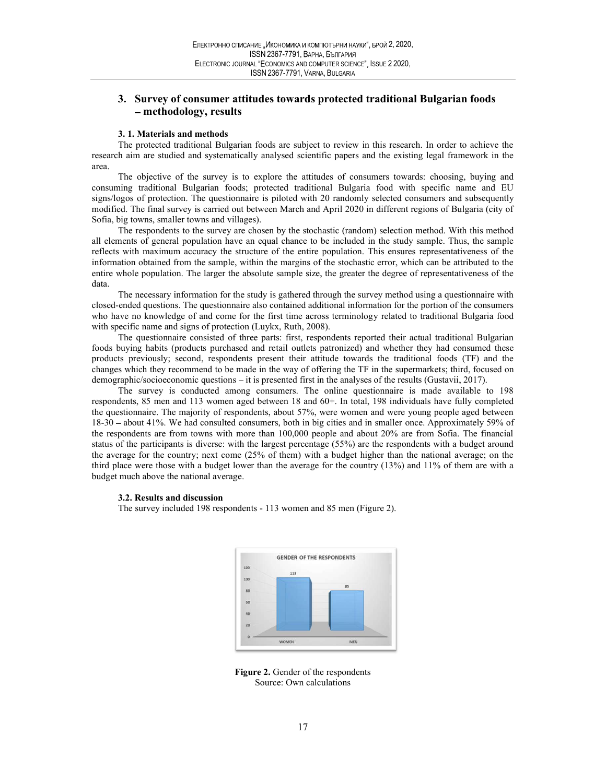# 2, 2020,<br>2 2020,<br>itional Bulgarian foods 3. Survey of consumer attitudes towards protected traditional Bulgarian foods methodology, results

## 3. 1. Materials and methods

The protected traditional Bulgarian foods are subject to review in this research. In order to achieve the research aim are studied and systematically analysed scientific papers and the existing legal framework in the area.

The objective of the survey is to explore the attitudes of consumers towards: choosing, buying and consuming traditional Bulgarian foods; protected traditional Bulgaria food with specific name and EU signs/logos of protection. The questionnaire is piloted with 20 randomly selected consumers and subsequently modified. The final survey is carried out between March and April 2020 in different regions of Bulgaria (city of Sofia, big towns, smaller towns and villages).

The respondents to the survey are chosen by the stochastic (random) selection method. With this method all elements of general population have an equal chance to be included in the study sample. Thus, the sample reflects with maximum accuracy the structure of the entire population. This ensures representativeness of the information obtained from the sample, within the margins of the stochastic error, which can be attributed to the entire whole population. The larger the absolute sample size, the greater the degree of representativeness of the data.

The necessary information for the study is gathered through the survey method using a questionnaire with closed-ended questions. The questionnaire also contained additional information for the portion of the consumers who have no knowledge of and come for the first time across terminology related to traditional Bulgaria food with specific name and signs of protection (Luykx, Ruth, 2008).

The questionnaire consisted of three parts: first, respondents reported their actual traditional Bulgarian foods buying habits (products purchased and retail outlets patronized) and whether they had consumed these products previously; second, respondents present their attitude towards the traditional foods (TF) and the changes which they recommend to be made in the way of offering the TF in the supermarkets; third, focused on demographic/socioeconomic questions - it is presented first in the analyses of the results (Gustavii, 2017).

The survey is conducted among consumers. The online questionnaire is made available to 198 respondents, 85 men and 113 women aged between 18 and 60+. In total, 198 individuals have fully completed the questionnaire. The majority of respondents, about 57%, were women and were young people aged between 18-30 about 41%. We had consulted consumers, both in big cities and in smaller once. Approximately 59% of the respondents are from towns with more than 100,000 people and about 20% are from Sofia. The financial status of the participants is diverse: with the largest percentage (55%) are the respondents with a budget around the average for the country; next come (25% of them) with a budget higher than the national average; on the third place were those with a budget lower than the average for the country (13%) and 11% of them are with a budget much above the national average.

## 3.2. Results and discussion

The survey included 198 respondents - 113 women and 85 men (Figure 2).



Figure 2. Gender of the respondents Source: Own calculations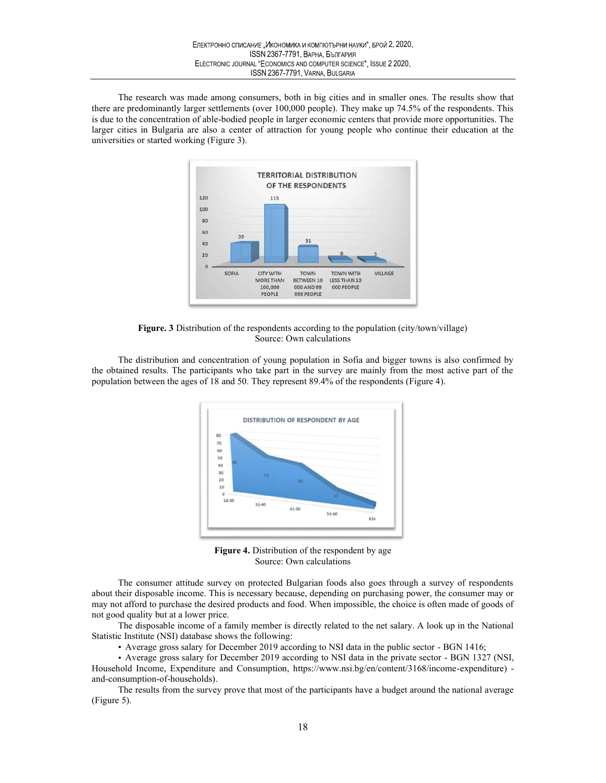2, 2020,<br>2 2020,<br>aaller ones. The results show that The research was made among consumers, both in big cities and in smaller ones. The results show that there are predominantly larger settlements (over 100,000 people). They make up 74.5% of the respondents. This is due to the concentration of able-bodied people in larger economic centers that provide more opportunities. The larger cities in Bulgaria are also a center of attraction for young people who continue their education at the universities or started working (Figure 3).



Figure. 3 Distribution of the respondents according to the population (city/town/village) Source: Own calculations

The distribution and concentration of young population in Sofia and bigger towns is also confirmed by the obtained results. The participants who take part in the survey are mainly from the most active part of the population between the ages of 18 and 50. They represent 89.4% of the respondents (Figure 4).



Figure 4. Distribution of the respondent by age Source: Own calculations

The consumer attitude survey on protected Bulgarian foods also goes through a survey of respondents about their disposable income. This is necessary because, depending on purchasing power, the consumer may or may not afford to purchase the desired products and food. When impossible, the choice is often made of goods of not good quality but at a lower price.

The disposable income of a family member is directly related to the net salary. A look up in the National Statistic Institute (NSI) database shows the following:

Average gross salary for December 2019 according to NSI data in the public sector - BGN 1416;

 Average gross salary for December 2019 according to NSI data in the private sector - BGN 1327 (NSI, Household Income, Expenditure and Consumption, https://www.nsi.bg/en/content/3168/income-expenditure) and-consumption-of-households).

The results from the survey prove that most of the participants have a budget around the national average (Figure 5).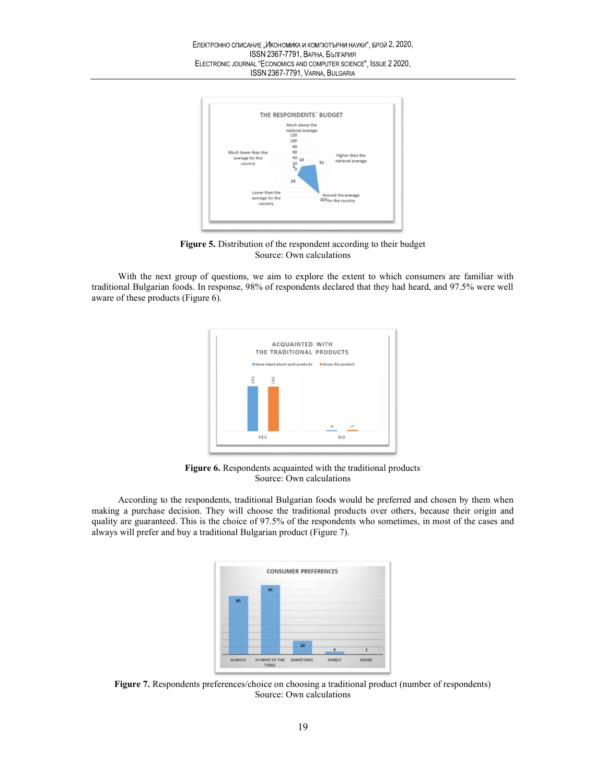

Figure 5. Distribution of the respondent according to their budget Source: Own calculations

With the next group of questions, we aim to explore the extent to which consumers are familiar with traditional Bulgarian foods. In response, 98% of respondents declared that they had heard, and 97.5% were well aware of these products (Figure 6).



Figure 6. Respondents acquainted with the traditional products Source: Own calculations

According to the respondents, traditional Bulgarian foods would be preferred and chosen by them when making a purchase decision. They will choose the traditional products over others, because their origin and quality are guaranteed. This is the choice of 97.5% of the respondents who sometimes, in most of the cases and always will prefer and buy a traditional Bulgarian product (Figure 7).



Figure 7. Respondents preferences/choice on choosing a traditional product (number of respondents) Source: Own calculations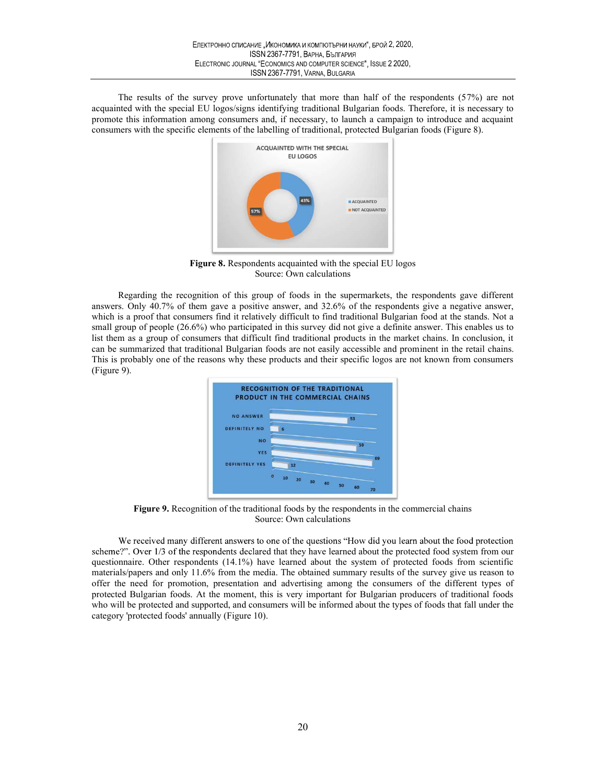2, 2020,<br>2 2020,<br> $\frac{1}{2}$  the respondents (57%) are not The results of the survey prove unfortunately that more than half of the respondents (57%) are not acquainted with the special EU logos/signs identifying traditional Bulgarian foods. Therefore, it is necessary to promote this information among consumers and, if necessary, to launch a campaign to introduce and acquaint consumers with the specific elements of the labelling of traditional, protected Bulgarian foods (Figure 8).



Figure 8. Respondents acquainted with the special EU logos Source: Own calculations

Regarding the recognition of this group of foods in the supermarkets, the respondents gave different answers. Only 40.7% of them gave a positive answer, and 32.6% of the respondents give a negative answer, which is a proof that consumers find it relatively difficult to find traditional Bulgarian food at the stands. Not a small group of people (26.6%) who participated in this survey did not give a definite answer. This enables us to list them as a group of consumers that difficult find traditional products in the market chains. In conclusion, it can be summarized that traditional Bulgarian foods are not easily accessible and prominent in the retail chains. This is probably one of the reasons why these products and their specific logos are not known from consumers (Figure 9).



Figure 9. Recognition of the traditional foods by the respondents in the commercial chains Source: Own calculations

We received many different answers to one of the questions "How did you learn about the food protection scheme?". Over 1/3 of the respondents declared that they have learned about the protected food system from our questionnaire. Other respondents (14.1%) have learned about the system of protected foods from scientific materials/papers and only 11.6% from the media. The obtained summary results of the survey give us reason to offer the need for promotion, presentation and advertising among the consumers of the different types of protected Bulgarian foods. At the moment, this is very important for Bulgarian producers of traditional foods who will be protected and supported, and consumers will be informed about the types of foods that fall under the category 'protected foods' annually (Figure 10).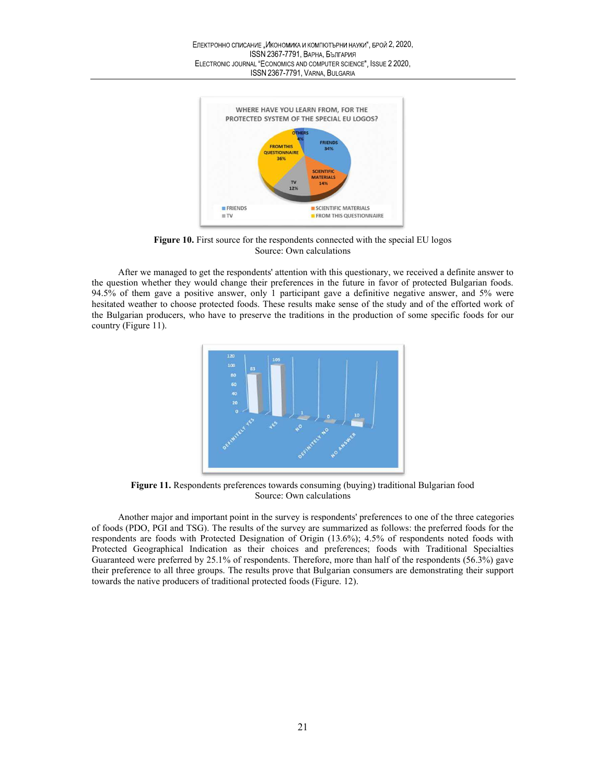

Figure 10. First source for the respondents connected with the special EU logos Source: Own calculations

After we managed to get the respondents' attention with this questionary, we received a definite answer to the question whether they would change their preferences in the future in favor of protected Bulgarian foods. 94.5% of them gave a positive answer, only 1 participant gave a definitive negative answer, and 5% were hesitated weather to choose protected foods. These results make sense of the study and of the efforted work of the Bulgarian producers, who have to preserve the traditions in the production of some specific foods for our country (Figure 11).



Figure 11. Respondents preferences towards consuming (buying) traditional Bulgarian food Source: Own calculations

Another major and important point in the survey is respondents' preferences to one of the three categories of foods (PDO, PGI and TSG). The results of the survey are summarized as follows: the preferred foods for the respondents are foods with Protected Designation of Origin (13.6%); 4.5% of respondents noted foods with Protected Geographical Indication as their choices and preferences; foods with Traditional Specialties Guaranteed were preferred by 25.1% of respondents. Therefore, more than half of the respondents (56.3%) gave their preference to all three groups. The results prove that Bulgarian consumers are demonstrating their support towards the native producers of traditional protected foods (Figure. 12).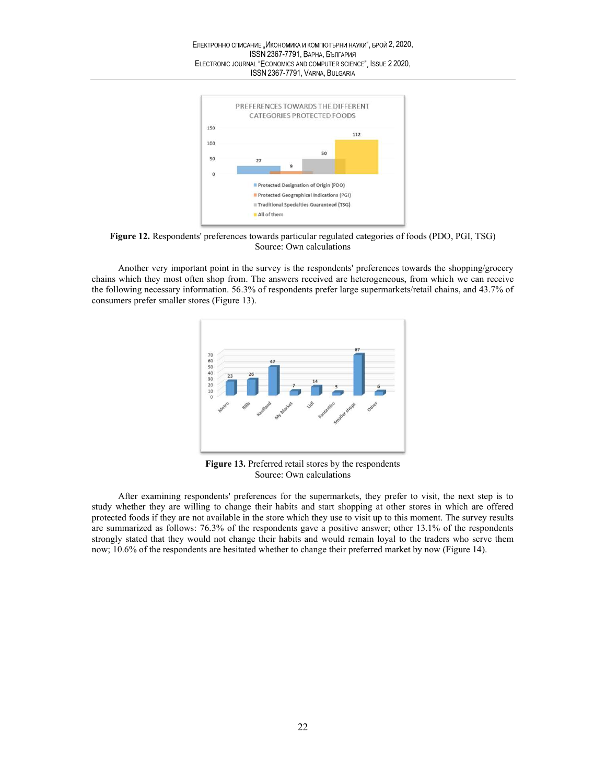

Figure 12. Respondents' preferences towards particular regulated categories of foods (PDO, PGI, TSG) Source: Own calculations

Another very important point in the survey is the respondents' preferences towards the shopping/grocery chains which they most often shop from. The answers received are heterogeneous, from which we can receive the following necessary information. 56.3% of respondents prefer large supermarkets/retail chains, and 43.7% of consumers prefer smaller stores (Figure 13).



Figure 13. Preferred retail stores by the respondents Source: Own calculations

After examining respondents' preferences for the supermarkets, they prefer to visit, the next step is to study whether they are willing to change their habits and start shopping at other stores in which are offered protected foods if they are not available in the store which they use to visit up to this moment. The survey results are summarized as follows: 76.3% of the respondents gave a positive answer; other 13.1% of the respondents strongly stated that they would not change their habits and would remain loyal to the traders who serve them now; 10.6% of the respondents are hesitated whether to change their preferred market by now (Figure 14).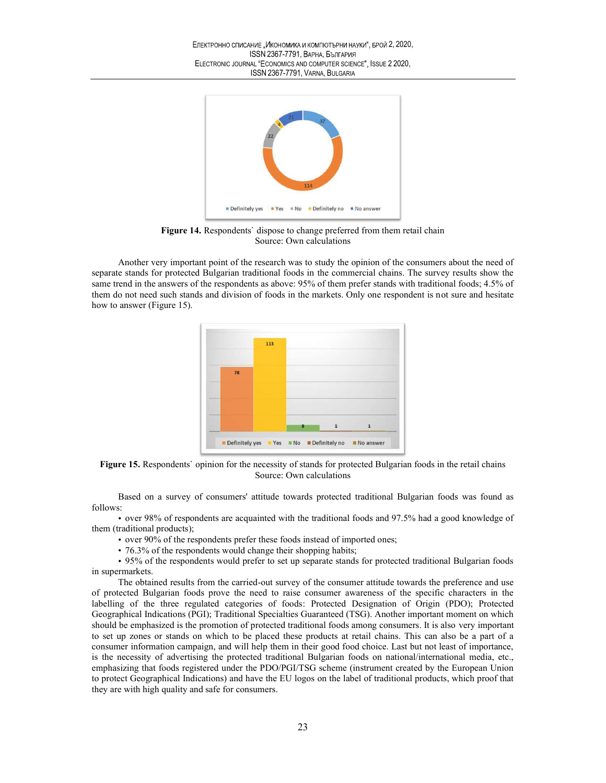

Figure 14. Respondents' dispose to change preferred from them retail chain Source: Own calculations

Another very important point of the research was to study the opinion of the consumers about the need of separate stands for protected Bulgarian traditional foods in the commercial chains. The survey results show the same trend in the answers of the respondents as above: 95% of them prefer stands with traditional foods; 4.5% of them do not need such stands and division of foods in the markets. Only one respondent is not sure and hesitate how to answer (Figure 15).



Figure 15. Respondents` opinion for the necessity of stands for protected Bulgarian foods in the retail chains Source: Own calculations

Based on a survey of consumers' attitude towards protected traditional Bulgarian foods was found as follows:

 over 98% of respondents are acquainted with the traditional foods and 97.5% had a good knowledge of them (traditional products);

• over 90% of the respondents prefer these foods instead of imported ones;

• 76.3% of the respondents would change their shopping habits;

 95% of the respondents would prefer to set up separate stands for protected traditional Bulgarian foods in supermarkets.

The obtained results from the carried-out survey of the consumer attitude towards the preference and use of protected Bulgarian foods prove the need to raise consumer awareness of the specific characters in the labelling of the three regulated categories of foods: Protected Designation of Origin (PDO); Protected Geographical Indications (PGI); Traditional Specialties Guaranteed (TSG). Another important moment on which should be emphasized is the promotion of protected traditional foods among consumers. It is also very important to set up zones or stands on which to be placed these products at retail chains. This can also be a part of a consumer information campaign, and will help them in their good food choice. Last but not least of importance, is the necessity of advertising the protected traditional Bulgarian foods on national/international media, etc., emphasizing that foods registered under the PDO/PGI/TSG scheme (instrument created by the European Union to protect Geographical Indications) and have the EU logos on the label of traditional products, which proof that they are with high quality and safe for consumers.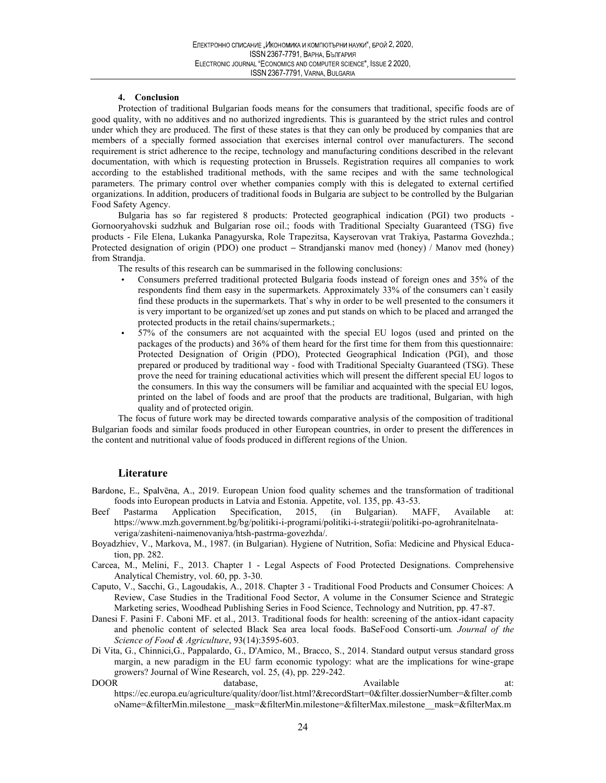## 4. Conclusion

Protection of traditional Bulgarian foods means for the consumers that traditional, specific foods are of good quality, with no additives and no authorized ingredients. This is guaranteed by the strict rules and control under which they are produced. The first of these states is that they can only be produced by companies that are members of a specially formed association that exercises internal control over manufacturers. The second requirement is strict adherence to the recipe, technology and manufacturing conditions described in the relevant documentation, with which is requesting protection in Brussels. Registration requires all companies to work according to the established traditional methods, with the same recipes and with the same technological parameters. The primary control over whether companies comply with this is delegated to external certified organizations. In addition, producers of traditional foods in Bulgaria are subject to be controlled by the Bulgarian Food Safety Agency.

Bulgaria has so far registered 8 products: Protected geographical indication (PGI) two products - Gornooryahovski sudzhuk and Bulgarian rose oil.; foods with Traditional Specialty Guaranteed (TSG) five products - File Elena, Lukanka Panagyurska, Role Trapezitsa, Kayserovan vrat Trakiya, Pastarma Govezhda.; Protected designation of origin (PDO) one product – Strandjanski manov med (honey) / Manov med (honey) from Strandja.

The results of this research can be summarised in the following conclusions:

- Consumers preferred traditional protected Bulgaria foods instead of foreign ones and 35% of the respondents find them easy in the supermarkets. Approximately 33% of the consumers can`t easily find these products in the supermarkets. That`s why in order to be well presented to the consumers it is very important to be organized/set up zones and put stands on which to be placed and arranged the protected products in the retail chains/supermarkets.;
- 57% of the consumers are not acquainted with the special EU logos (used and printed on the packages of the products) and 36% of them heard for the first time for them from this questionnaire: Protected Designation of Origin (PDO), Protected Geographical Indication (PGI), and those prepared or produced by traditional way - food with Traditional Specialty Guaranteed (TSG). These prove the need for training educational activities which will present the different special EU logos to the consumers. In this way the consumers will be familiar and acquainted with the special EU logos, printed on the label of foods and are proof that the products are traditional, Bulgarian, with high quality and of protected origin.

The focus of future work may be directed towards comparative analysis of the composition of traditional Bulgarian foods and similar foods produced in other European countries, in order to present the differences in the content and nutritional value of foods produced in different regions of the Union.

# Literature

- Bardone, E., Spalvēna, A., 2019. European Union food quality schemes and the transformation of traditional foods into European products in Latvia and Estonia. Appetite, vol. 135, pp. 43-53.
- Beef Pastarma Application Specification, 2015, (in Bulgarian). MAFF, Available at: https://www.mzh.government.bg/bg/politiki-i-programi/politiki-i-strategii/politiki-po-agrohranitelnataveriga/zashiteni-naimenovaniya/htsh-pastrma-govezhda/.
- Boyadzhiev, V., Markova, M., 1987. (in Bulgarian). Hygiene of Nutrition, Sofia: Medicine and Physical Education, pp. 282.
- Carcea, M., Melini, F., 2013. Chapter 1 Legal Aspects of Food Protected Designations. Comprehensive Analytical Chemistry, vol. 60, pp. 3-30.
- Caputo, V., Sacchi, G., Lagoudakis, A., 2018. Chapter 3 Traditional Food Products and Consumer Choices: A Review, Case Studies in the Traditional Food Sector, A volume in the Consumer Science and Strategic Marketing series, Woodhead Publishing Series in Food Science, Technology and Nutrition, pp. 47-87.
- Danesi F. Pasini F. Caboni MF. et al., 2013. Traditional foods for health: screening of the antiox-idant capacity and phenolic content of selected Black Sea area local foods. BaSeFood Consorti-um. Journal of the Science of Food & Agriculture, 93(14):3595-603.
- Di Vita, G., Chinnici,G., Pappalardo, G., D'Amico, M., Bracco, S., 2014. Standard output versus standard gross margin, a new paradigm in the EU farm economic typology: what are the implications for wine-grape growers? Journal of Wine Research, vol. 25, (4), pp. 229-242.<br>DOOR database.
- DOOR database, Available at: the database, and a structure at: the database at: the database at: the database at: the database at: the database at: the database at: the database at: the database at: the database at at: the https://ec.europa.eu/agriculture/quality/door/list.html?&recordStart=0&filter.dossierNumber=&filter.comb oName=&filterMin.milestone\_\_mask=&filterMin.milestone=&filterMax.milestone\_\_mask=&filterMax.m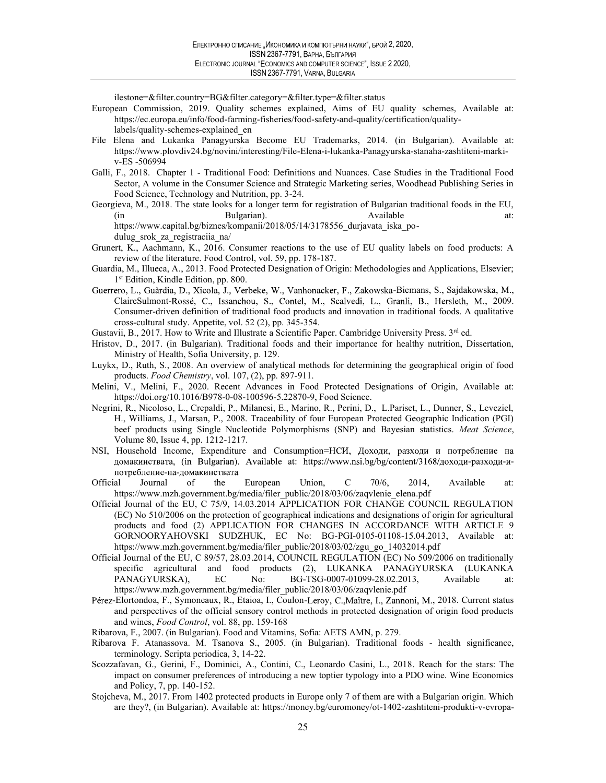ilestone=&filter.country=BG&filter.category=&filter.type=&filter.status

- European Commission, 2019. Quality schemes explained, Aims of EU quality schemes, Available at: https://ec.europa.eu/info/food-farming-fisheries/food-safety-and-quality/certification/qualitylabels/quality-schemes-explained\_en
- File Elena and Lukanka Panagyurska Become EU Trademarks, 2014. (in Bulgarian). Available at: https://www.plovdiv24.bg/novini/interesting/File-Elena-i-lukanka-Panagyurska-stanaha-zashtiteni-markiv-ES -506994
- Galli, F., 2018. Chapter 1 Traditional Food: Definitions and Nuances. Case Studies in the Traditional Food Sector, A volume in the Consumer Science and Strategic Marketing series, Woodhead Publishing Series in Food Science, Technology and Nutrition, pp. 3-24.
- Georgieva, M., 2018. The state looks for a longer term for registration of Bulgarian traditional foods in the EU, (in Bulgarian). Available at: https://www.capital.bg/biznes/kompanii/2018/05/14/3178556\_durjavata\_iska\_podulug\_srok\_za\_registraciia\_na/
- Grunert, K., Aachmann, K., 2016. Consumer reactions to the use of EU quality labels on food products: A review of the literature. Food Control, vol. 59, pp. 178-187.
- Guardia, M., Illueca, A., 2013. Food Protected Designation of Origin: Methodologies and Applications, Elsevier; 1 st Edition, Kindle Edition, pp. 800.
- Guerrero, L., Guàrdia, D., Xicola, J., Verbeke, W., Vanhonacker, F., Zakowska-Biemans, S., Sajdakowska, M., ClaireSulmont-Rossé, C., Issanchou, S., Contel, M., Scalvedi, L., Granli, B., Hersleth, M., 2009. Consumer-driven definition of traditional food products and innovation in traditional foods. A qualitative cross-cultural study. Appetite, vol. 52 (2), pp. 345-354.
- Gustavii, B., 2017. How to Write and Illustrate a Scientific Paper. Cambridge University Press. 3rd ed.
- Hristov, D., 2017. (in Bulgarian). Traditional foods and their importance for healthy nutrition, Dissertation, Ministry of Health, Sofia University, p. 129.
- Luykx, D., Ruth, S., 2008. An overview of analytical methods for determining the geographical origin of food products. Food Chemistry, vol. 107, (2), pp. 897-911.
- Melini, V., Melini, F., 2020. Recent Advances in Food Protected Designations of Origin, Available at: https://doi.org/10.1016/B978-0-08-100596-5.22870-9, Food Science.
- Negrini, R., Nicoloso, L., Crepaldi, P., Milanesi, E., Marino, R., Perini, D., L.Pariset, L., Dunner, S., Leveziel, H., Williams, J., Marsan, P., 2008. Traceability of four European Protected Geographic Indication (PGI) beef products using Single Nucleotide Polymorphisms (SNP) and Bayesian statistics. Meat Science, Volume 80, Issue 4, pp. 1212-1217.
- NSI, Household Income, Expenditure and Consumption=HCИ, Доходи, разходи и потребление на домакинствата, (in Bulgarian). Available at: https://www.nsi.bg/bg/content/3168/доходи-разходи-ипотребление-на-домакинствата
- Official Journal of the European Union, C 70/6, 2014, Available at: https://www.mzh.government.bg/media/filer\_public/2018/03/06/zaqvlenie\_elena.pdf
- Official Journal of the EU, C 75/9, 14.03.2014 APPLICATION FOR CHANGE COUNCIL REGULATION (EC) No 510/2006 on the protection of geographical indications and designations of origin for agricultural products and food (2) APPLICATION FOR CHANGES IN ACCORDANCE WITH ARTICLE 9 GORNOORYAHOVSKI SUDZHUK, EC No: BG-PGI-0105-01108-15.04.2013, Available at: https://www.mzh.government.bg/media/filer\_public/2018/03/02/zgu\_go\_14032014.pdf
- Official Journal of the EU, C 89/57, 28.03.2014, COUNCIL REGULATION (EC) No 509/2006 on traditionally specific agricultural and food products (2), LUKANKA PANAGYURSKA (LUKANKA PANAGYURSKA), EC No: BG-TSG-0007-01099-28.02.2013, Available https://www.mzh.government.bg/media/filer\_public/2018/03/06/zaqvlenie.pdf
- Pérez-Elortondoa, F., Symoneaux, R., Etaioa, I., Coulon-Leroy, C., Maître, I., Zannoni, M., 2018. Current status and perspectives of the official sensory control methods in protected designation of origin food products and wines, Food Control, vol. 88, pp. 159-168
- Ribarova, F., 2007. (in Bulgarian). Food and Vitamins, Sofia: AETS AMN, p. 279.
- Ribarova F. Atanassova. M. Tsanova S., 2005. (in Bulgarian). Traditional foods health significance, terminology. Scripta periodica, 3, 14-22.
- Scozzafavan, G., Gerini, F., Dominici, A., Contini, C., Leonardo Casini, L., 2018. Reach for the stars: The impact on consumer preferences of introducing a new toptier typology into a PDO wine. Wine Economics and Policy, 7, pp. 140-152.
- Stojcheva, M., 2017. From 1402 protected products in Europe only 7 of them are with a Bulgarian origin. Which are they?, (in Bulgarian). Available at: https://money.bg/euromoney/ot-1402-zashtiteni-produkti-v-evropa-